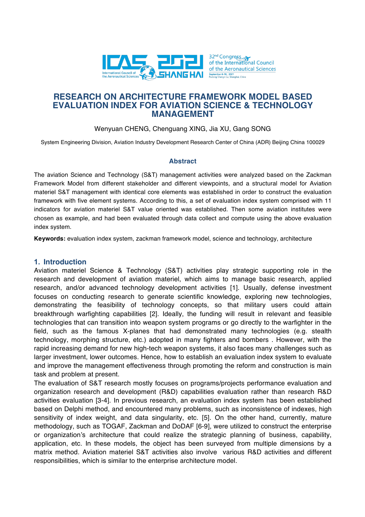

Wenyuan CHENG, Chenguang XING, Jia XU, Gang SONG

System Engineering Division, Aviation Industry Development Research Center of China (ADR) Beijing China 100029

## **Abstract**

The aviation Science and Technology (S&T) management activities were analyzed based on the Zackman Framework Model from different stakeholder and different viewpoints, and a structural model for Aviation materiel S&T management with identical core elements was established in order to construct the evaluation framework with five element systems. According to this, a set of evaluation index system comprised with 11 indicators for aviation materiel S&T value oriented was established. Then some aviation institutes were chosen as example, and had been evaluated through data collect and compute using the above evaluation index system.

**Keywords:** evaluation index system, zackman framework model, science and technology, architecture

### **1. Introduction**

Aviation materiel Science & Technology (S&T) activities play strategic supporting role in the research and development of aviation materiel, which aims to manage basic research, applied research, and/or advanced technology development activities [1]. Usually, defense investment focuses on conducting research to generate scientific knowledge, exploring new technologies, demonstrating the feasibility of technology concepts, so that military users could attain breakthrough warfighting capabilities [2]. Ideally, the funding will result in relevant and feasible technologies that can transition into weapon system programs or go directly to the warfighter in the field, such as the famous X-planes that had demonstrated many technologies (e.g. stealth technology, morphing structure, etc.) adopted in many fighters and bombers . However, with the rapid increasing demand for new high-tech weapon systems, it also faces many challenges such as larger investment, lower outcomes. Hence, how to establish an evaluation index system to evaluate and improve the management effectiveness through promoting the reform and construction is main task and problem at present.

The evaluation of S&T research mostly focuses on programs/projects performance evaluation and organization research and development (R&D) capabilities evaluation rather than research R&D activities evaluation [3-4]. In previous research, an evaluation index system has been established based on Delphi method, and encountered many problems, such as inconsistence of indexes, high sensitivity of index weight, and data singularity, etc. [5]. On the other hand, currently, mature methodology, such as TOGAF, Zackman and DoDAF [6-9], were utilized to construct the enterprise or organization's architecture that could realize the strategic planning of business, capability, application, etc. In these models, the object has been surveyed from multiple dimensions by a matrix method. Aviation materiel S&T activities also involve various R&D activities and different responsibilities, which is similar to the enterprise architecture model.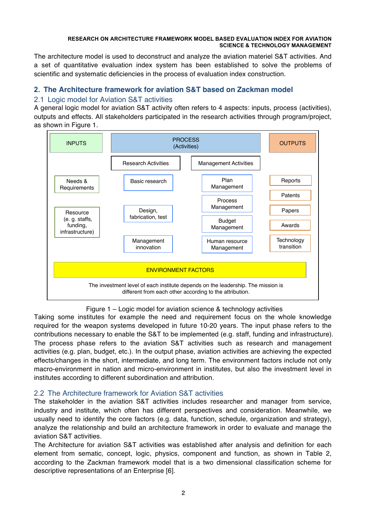The architecture model is used to deconstruct and analyze the aviation materiel S&T activities. And a set of quantitative evaluation index system has been established to solve the problems of scientific and systematic deficiencies in the process of evaluation index construction.

# **2. The Architecture framework for aviation S&T based on Zackman model**

## 2.1 Logic model for Aviation S&T activities

A general logic model for aviation S&T activity often refers to 4 aspects: inputs, process (activities), outputs and effects. All stakeholders participated in the research activities through program/project, as shown in Figure 1.



Figure 1 – Logic model for aviation science & technology activities

Taking some institutes for example the need and requirement focus on the whole knowledge required for the weapon systems developed in future 10-20 years. The input phase refers to the contributions necessary to enable the S&T to be implemented (e.g. staff, funding and infrastructure). The process phase refers to the aviation S&T activities such as research and management activities (e.g. plan, budget, etc.). In the output phase, aviation activities are achieving the expected effects/changes in the short, intermediate, and long term. The environment factors include not only macro-environment in nation and micro-environment in institutes, but also the investment level in institutes according to different subordination and attribution.

# 2.2 The Architecture framework for Aviation S&T activities

The stakeholder in the aviation S&T activities includes researcher and manager from service, industry and institute, which often has different perspectives and consideration. Meanwhile, we usually need to identify the core factors (e.g. data, function, schedule, organization and strategy), analyze the relationship and build an architecture framework in order to evaluate and manage the aviation S&T activities.

The Architecture for aviation S&T activities was established after analysis and definition for each element from sematic, concept, logic, physics, component and function, as shown in Table 2, according to the Zackman framework model that is a two dimensional classification scheme for descriptive representations of an Enterprise [6].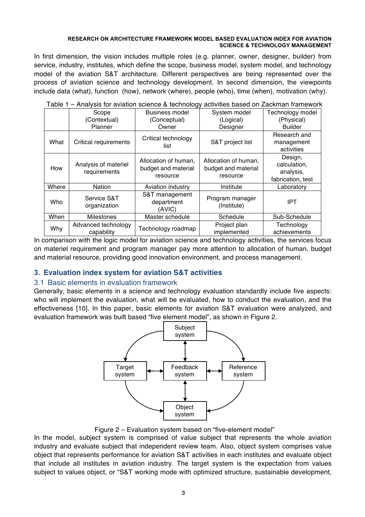In first dimension, the vision includes multiple roles (e.g. planner, owner, designer, builder) from service, industry, institutes, which define the scope, business model, system model, and technology model of the aviation S&T architecture. Different perspectives are being represented over the process of aviation science and technology development. In second dimension, the viewpoints include data (what), function (how), network (where), people (who), time (when), motivation (why).

|       |                                      | $\frac{1}{2}$ and $\frac{1}{2}$ is a constructed by the contractor of $\frac{1}{2}$ | abunuoo baoba on Eabhinan namonon                       |                                                           |
|-------|--------------------------------------|-------------------------------------------------------------------------------------|---------------------------------------------------------|-----------------------------------------------------------|
|       | Scope                                | <b>Business model</b>                                                               | System model                                            | Technology model                                          |
|       | (Contextual)                         | (Conceptual)                                                                        | (Logical)                                               | (Physical)                                                |
|       | Planner                              | Owner                                                                               | Designer                                                | <b>Builder</b>                                            |
| What  | <b>Critical requirements</b>         | Critical technology<br>list                                                         | S&T project list                                        | Research and<br>management<br>activities                  |
| How   | Analysis of materiel<br>requirements | Allocation of human,<br>budget and material<br>resource                             | Allocation of human,<br>budget and material<br>resource | Design,<br>calculation,<br>analysis,<br>fabrication, test |
| Where | Nation                               | Aviation industry                                                                   | Institute                                               | Laboratory                                                |
| Who   | Service S&T<br>organization          | S&T management<br>department<br>(AVIC)                                              | Program manager<br>(Institute)                          | <b>IPT</b>                                                |
| When  | <b>Milestones</b>                    | Master schedule                                                                     | Schedule                                                | Sub-Schedule                                              |
| Why   | Advanced technology<br>capability    | Technology roadmap                                                                  | Project plan<br>implemented                             | Technology<br>achievements                                |

Table 1 – Analysis for aviation science & technology activities based on Zackman framework

In comparison with the logic model for aviation science and technology activities, the services focus on materiel requirement and program manager pay more attention to allocation of human, budget and material resource, providing good innovation environment, and process management.

# **3. Evaluation index system for aviation S&T activities**

## 3.1 Basic elements in evaluation framework

Generally, basic elements in a science and technology evaluation standardly include five aspects: who will implement the evaluation, what will be evaluated, how to conduct the evaluation, and the effectiveness [10]. In this paper, basic elements for aviation S&T evaluation were analyzed, and evaluation framework was built based "five element model", as shown in Figure 2.



Figure 2 – Evaluation system based on "five-element model"

In the model, subject system is comprised of value subject that represents the whole aviation industry and evaluate subject that independent review team. Also, object system comprises value object that represents performance for aviation S&T activities in each institutes and evaluate object that include all institutes in aviation industry. The target system is the expectation from values subject to values object, or "S&T working mode with optimized structure, sustainable development,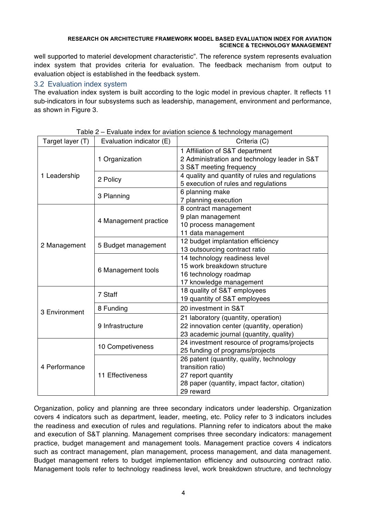well supported to materiel development characteristic". The reference system represents evaluation index system that provides criteria for evaluation. The feedback mechanism from output to evaluation object is established in the feedback system.

## 3.2 Evaluation index system

The evaluation index system is built according to the logic model in previous chapter. It reflects 11 sub-indicators in four subsystems such as leadership, management, environment and performance, as shown in Figure 3.

| Target layer (T) | Evaluation indicator (E) | Criteria (C)                                    |  |
|------------------|--------------------------|-------------------------------------------------|--|
|                  |                          | 1 Affiliation of S&T department                 |  |
|                  | 1 Organization           | 2 Administration and technology leader in S&T   |  |
|                  |                          | 3 S&T meeting frequency                         |  |
| 1 Leadership     | 2 Policy                 | 4 quality and quantity of rules and regulations |  |
|                  |                          | 5 execution of rules and regulations            |  |
|                  | 3 Planning               | 6 planning make                                 |  |
|                  |                          | 7 planning execution                            |  |
|                  |                          | 8 contract management                           |  |
|                  | 4 Management practice    | 9 plan management                               |  |
|                  |                          | 10 process management                           |  |
|                  |                          | 11 data management                              |  |
| 2 Management     | 5 Budget management      | 12 budget implantation efficiency               |  |
|                  |                          | 13 outsourcing contract ratio                   |  |
|                  | 6 Management tools       | 14 technology readiness level                   |  |
|                  |                          | 15 work breakdown structure                     |  |
|                  |                          | 16 technology roadmap                           |  |
|                  |                          | 17 knowledge management                         |  |
|                  | 7 Staff                  | 18 quality of S&T employees                     |  |
|                  |                          | 19 quantity of S&T employees                    |  |
| 3 Environment    | 8 Funding                | 20 investment in S&T                            |  |
|                  |                          | 21 laboratory (quantity, operation)             |  |
|                  | 9 Infrastructure         | 22 innovation center (quantity, operation)      |  |
|                  |                          | 23 academic journal (quantity, quality)         |  |
|                  |                          | 24 investment resource of programs/projects     |  |
|                  | 10 Competiveness         | 25 funding of programs/projects                 |  |
|                  |                          | 26 patent (quantity, quality, technology        |  |
| 4 Performance    |                          | transition ratio)                               |  |
|                  | 11 Effectiveness         | 27 report quantity                              |  |
|                  |                          | 28 paper (quantity, impact factor, citation)    |  |
|                  |                          | 29 reward                                       |  |

Table 2 – Evaluate index for aviation science & technology management

Organization, policy and planning are three secondary indicators under leadership. Organization covers 4 indicators such as department, leader, meeting, etc. Policy refer to 3 indicators includes the readiness and execution of rules and regulations. Planning refer to indicators about the make and execution of S&T planning. Management comprises three secondary indicators: management practice, budget management and management tools. Management practice covers 4 indicators such as contract management, plan management, process management, and data management. Budget management refers to budget implementation efficiency and outsourcing contract ratio. Management tools refer to technology readiness level, work breakdown structure, and technology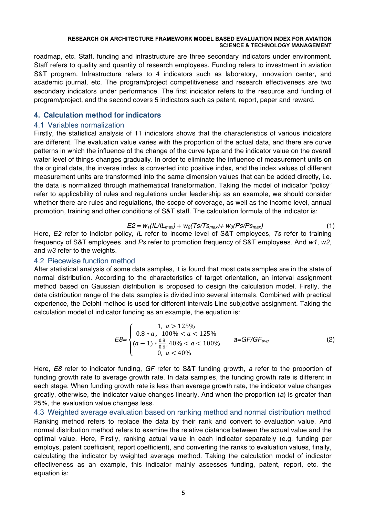roadmap, etc. Staff, funding and infrastructure are three secondary indicators under environment. Staff refers to quality and quantity of research employees. Funding refers to investment in aviation S&T program. Infrastructure refers to 4 indicators such as laboratory, innovation center, and academic journal, etc. The program/project competitiveness and research effectiveness are two secondary indicators under performance. The first indicator refers to the resource and funding of program/project, and the second covers 5 indicators such as patent, report, paper and reward.

## **4. Calculation method for indicators**

## 4.1 Variables normalization

Firstly, the statistical analysis of 11 indicators shows that the characteristics of various indicators are different. The evaluation value varies with the proportion of the actual data, and there are curve patterns in which the influence of the change of the curve type and the indicator value on the overall water level of things changes gradually. In order to eliminate the influence of measurement units on the original data, the inverse index is converted into positive index, and the index values of different measurement units are transformed into the same dimension values that can be added directly, i.e. the data is normalized through mathematical transformation. Taking the model of indicator "policy" refer to applicability of rules and regulations under leadership as an example, we should consider whether there are rules and regulations, the scope of coverage, as well as the income level, annual promotion, training and other conditions of S&T staff. The calculation formula of the indicator is:

$$
E2 = w_1 (IL/IL_{max}) + w_2 (Ts/Ts_{max}) + w_3 (Ps/Ps_{max})
$$
 (1)

Here, *E2* refer to indictor policy, *IL* refer to income level of S&T employees, *Ts* refer to training frequency of S&T employees, and *Ps* refer to promotion frequency of S&T employees. And *w1*, *w2*, and *w3* refer to the weights.

## 4.2 Piecewise function method

After statistical analysis of some data samples, it is found that most data samples are in the state of normal distribution. According to the characteristics of target orientation, an interval assignment method based on Gaussian distribution is proposed to design the calculation model. Firstly, the data distribution range of the data samples is divided into several internals. Combined with practical experience, the Delphi method is used for different intervals Line subjective assignment. Taking the calculation model of indicator funding as an example, the equation is:

$$
E8 = \begin{cases} 1, & a > 125\% \\ 0.8 & \text{if } a > 100\% < a < 125\% \\ (a-1) & \frac{0.8}{0.6}, & 40\% < a < 100\% \\ 0, & a < 40\% \end{cases} \qquad \text{a=GF/GF}_{\text{avg}} \tag{2}
$$

Here, *E8* refer to indicator funding, *GF* refer to S&T funding growth, *a* refer to the proportion of funding growth rate to average growth rate. In data samples, the funding growth rate is different in each stage. When funding growth rate is less than average growth rate, the indicator value changes greatly, otherwise, the indicator value changes linearly. And when the proportion (*a*) is greater than 25%, the evaluation value changes less.

4.3 Weighted average evaluation based on ranking method and normal distribution method Ranking method refers to replace the data by their rank and convert to evaluation value. And normal distribution method refers to examine the relative distance between the actual value and the optimal value. Here, Firstly, ranking actual value in each indicator separately (e.g. funding per employs, patent coefficient, report coefficient), and converting the ranks to evaluation values, finally, calculating the indicator by weighted average method. Taking the calculation model of indicator effectiveness as an example, this indicator mainly assesses funding, patent, report, etc. the equation is: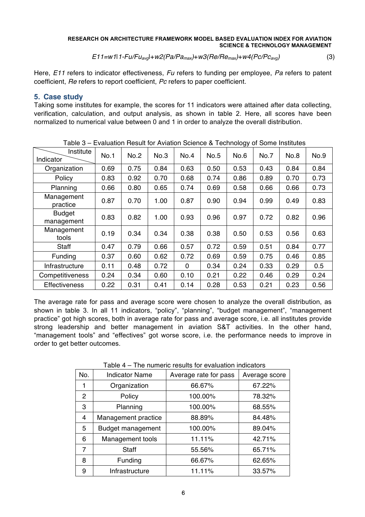*E11=w1*|*1-Fu/Fuavg*|+*w2(Pa/Pamax)*+*w3(Re/Remax)*+*w4(Pc/Pcavg)* (3)

Here, *E11* refers to indicator effectiveness, *Fu* refers to funding per employee, *Pa* refers to patent coefficient, *Re* refers to report coefficient, *Pc* refers to paper coefficient.

## **5. Case study**

Taking some institutes for example, the scores for 11 indicators were attained after data collecting, verification, calculation, and output analysis, as shown in table 2. Here, all scores have been normalized to numerical value between 0 and 1 in order to analyze the overall distribution.

| raple $3 - 1$ evaluation Result for Aviation Science $\alpha$ rechnology of Some institutes |             |             |      |              |      |      |      |      |      |
|---------------------------------------------------------------------------------------------|-------------|-------------|------|--------------|------|------|------|------|------|
| Institute<br>Indicator                                                                      | <b>No.1</b> | <b>No.2</b> | No.3 | No.4         | No.5 | No.6 | No.7 | No.8 | No.9 |
| Organization                                                                                | 0.69        | 0.75        | 0.84 | 0.63         | 0.50 | 0.53 | 0.43 | 0.84 | 0.84 |
| Policy                                                                                      | 0.83        | 0.92        | 0.70 | 0.68         | 0.74 | 0.86 | 0.89 | 0.70 | 0.73 |
| Planning                                                                                    | 0.66        | 0.80        | 0.65 | 0.74         | 0.69 | 0.58 | 0.66 | 0.66 | 0.73 |
| Management<br>practice                                                                      | 0.87        | 0.70        | 1.00 | 0.87         | 0.90 | 0.94 | 0.99 | 0.49 | 0.83 |
| <b>Budget</b><br>management                                                                 | 0.83        | 0.82        | 1.00 | 0.93         | 0.96 | 0.97 | 0.72 | 0.82 | 0.96 |
| Management<br>tools                                                                         | 0.19        | 0.34        | 0.34 | 0.38         | 0.38 | 0.50 | 0.53 | 0.56 | 0.63 |
| Staff                                                                                       | 0.47        | 0.79        | 0.66 | 0.57         | 0.72 | 0.59 | 0.51 | 0.84 | 0.77 |
| Funding                                                                                     | 0.37        | 0.60        | 0.62 | 0.72         | 0.69 | 0.59 | 0.75 | 0.46 | 0.85 |
| Infrastructure                                                                              | 0.11        | 0.48        | 0.72 | $\mathbf{0}$ | 0.34 | 0.24 | 0.33 | 0.29 | 0.5  |
| Competitiveness                                                                             | 0.24        | 0.34        | 0.60 | 0.10         | 0.21 | 0.22 | 0.46 | 0.29 | 0.24 |
| <b>Effectiveness</b>                                                                        | 0.22        | 0.31        | 0.41 | 0.14         | 0.28 | 0.53 | 0.21 | 0.23 | 0.56 |

Table 3 – Evaluation Result for Aviation Science & Technology of Some Institutes

The average rate for pass and average score were chosen to analyze the overall distribution, as shown in table 3. In all 11 indicators, "policy", "planning", "budget management", "management practice" got high scores, both in average rate for pass and average score, i.e. all institutes provide strong leadership and better management in aviation S&T activities. In the other hand, "management tools" and "effectives" got worse score, i.e. the performance needs to improve in order to get better outcomes.

| No. | <b>Indicator Name</b>    | Average rate for pass | Average score |
|-----|--------------------------|-----------------------|---------------|
|     | Organization             | 66.67%                | 67.22%        |
| 2   | Policy                   | 100.00%               | 78.32%        |
| 3   | Planning                 | 100.00%               | 68.55%        |
| 4   | Management practice      | 88.89%                | 84.48%        |
| 5   | <b>Budget management</b> | 100.00%               | 89.04%        |
| 6   | Management tools         | 11.11%                | 42.71%        |
| 7   | Staff                    | 55.56%                | 65.71%        |
| 8   | Funding                  | 66.67%                | 62.65%        |
| 9   | Infrastructure           | 11.11%                | 33.57%        |

Table 4 – The numeric results for evaluation indicators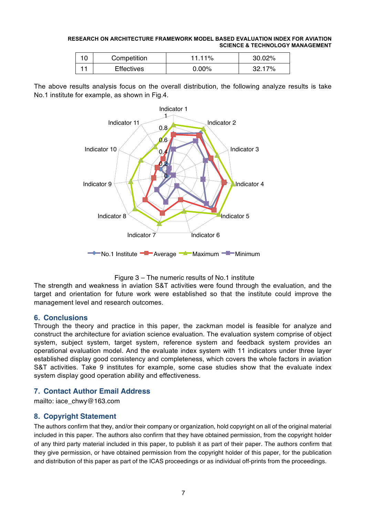| 10 | Competition       | 11.11%   | 30.02% |
|----|-------------------|----------|--------|
|    | <b>Effectives</b> | $0.00\%$ | 32.17% |

The above results analysis focus on the overall distribution, the following analyze results is take No.1 institute for example, as shown in Fig.4.





The strength and weakness in aviation S&T activities were found through the evaluation, and the target and orientation for future work were established so that the institute could improve the management level and research outcomes.

## **6. Conclusions**

Through the theory and practice in this paper, the zackman model is feasible for analyze and construct the architecture for aviation science evaluation. The evaluation system comprise of object system, subject system, target system, reference system and feedback system provides an operational evaluation model. And the evaluate index system with 11 indicators under three layer established display good consistency and completeness, which covers the whole factors in aviation S&T activities. Take 9 institutes for example, some case studies show that the evaluate index system display good operation ability and effectiveness.

# **7. Contact Author Email Address**

mailto: iace\_chwy@163.com

# **8. Copyright Statement**

The authors confirm that they, and/or their company or organization, hold copyright on all of the original material included in this paper. The authors also confirm that they have obtained permission, from the copyright holder of any third party material included in this paper, to publish it as part of their paper. The authors confirm that they give permission, or have obtained permission from the copyright holder of this paper, for the publication and distribution of this paper as part of the ICAS proceedings or as individual off-prints from the proceedings.